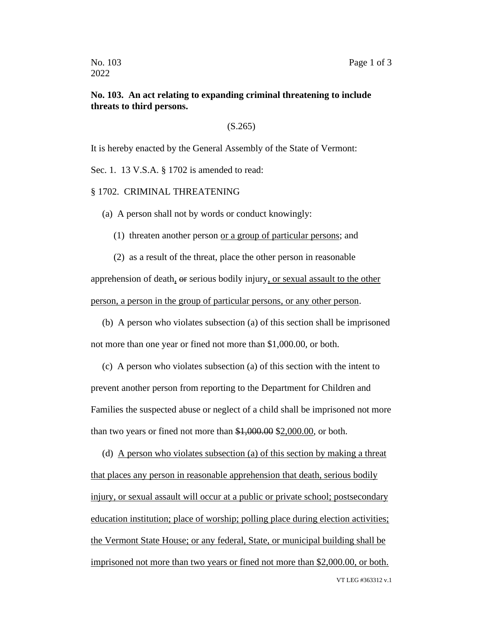## **No. 103. An act relating to expanding criminal threatening to include threats to third persons.**

(S.265)

It is hereby enacted by the General Assembly of the State of Vermont:

Sec. 1. 13 V.S.A. § 1702 is amended to read:

§ 1702. CRIMINAL THREATENING

(a) A person shall not by words or conduct knowingly:

(1) threaten another person or a group of particular persons; and

(2) as a result of the threat, place the other person in reasonable apprehension of death, or serious bodily injury, or sexual assault to the other person, a person in the group of particular persons, or any other person.

(b) A person who violates subsection (a) of this section shall be imprisoned not more than one year or fined not more than \$1,000.00, or both.

(c) A person who violates subsection (a) of this section with the intent to prevent another person from reporting to the Department for Children and Families the suspected abuse or neglect of a child shall be imprisoned not more than two years or fined not more than \$1,000.00 \$2,000.00, or both.

(d) A person who violates subsection (a) of this section by making a threat that places any person in reasonable apprehension that death, serious bodily injury, or sexual assault will occur at a public or private school; postsecondary education institution; place of worship; polling place during election activities; the Vermont State House; or any federal, State, or municipal building shall be imprisoned not more than two years or fined not more than \$2,000.00, or both.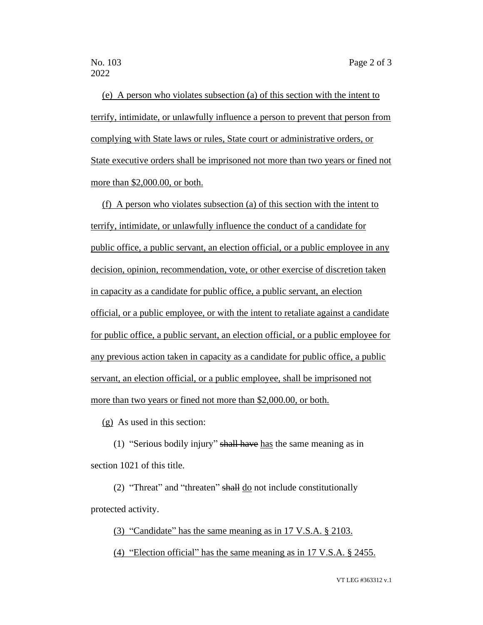(e) A person who violates subsection (a) of this section with the intent to terrify, intimidate, or unlawfully influence a person to prevent that person from complying with State laws or rules, State court or administrative orders, or State executive orders shall be imprisoned not more than two years or fined not more than \$2,000.00, or both.

(f) A person who violates subsection (a) of this section with the intent to terrify, intimidate, or unlawfully influence the conduct of a candidate for public office, a public servant, an election official, or a public employee in any decision, opinion, recommendation, vote, or other exercise of discretion taken in capacity as a candidate for public office, a public servant, an election official, or a public employee, or with the intent to retaliate against a candidate for public office, a public servant, an election official, or a public employee for any previous action taken in capacity as a candidate for public office, a public servant, an election official, or a public employee, shall be imprisoned not more than two years or fined not more than \$2,000.00, or both.

(g) As used in this section:

(1) "Serious bodily injury" shall have has the same meaning as in section 1021 of this title.

(2) "Threat" and "threaten" shall do not include constitutionally protected activity.

(3) "Candidate" has the same meaning as in 17 V.S.A. § 2103.

(4) "Election official" has the same meaning as in 17 V.S.A. § 2455.